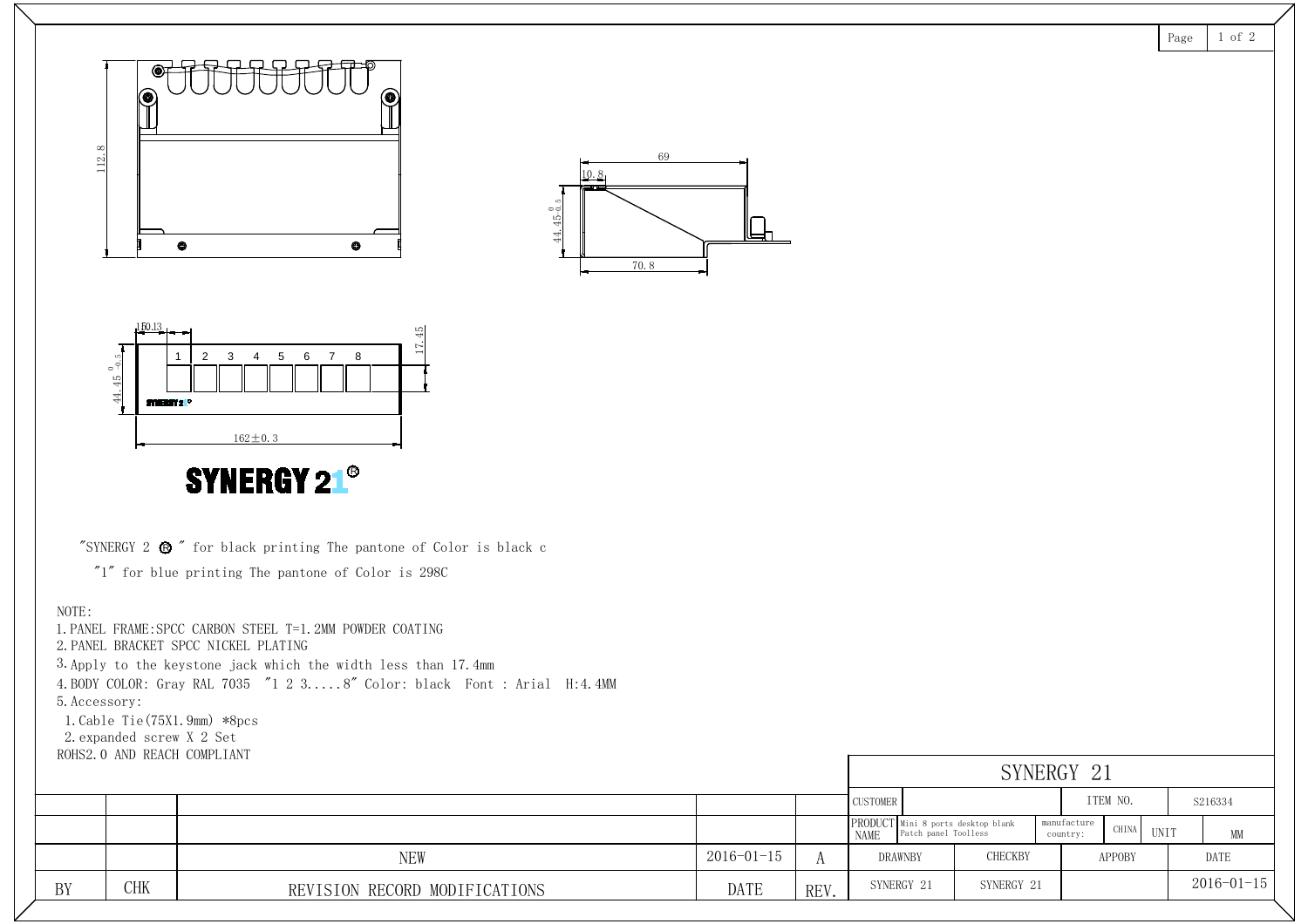BY CHK REVISION RECORD MODIFICATIONS DATE NEW Page 1 of 2 REV. <sup>A</sup> PRODUCT NAMEDRAWNBY CHECKBY APPOBY DATE UNIT MM CUSTOMER ITEM NO. SYNERGY 21 SYNERGY 21 SYNERGY 21manufacture country: CHINA Mini 8 ports desktop blank Patch panel Toolless 44.45 $\overset{0}{\phantom{0}}$  0.5  $\begin{array}{|c|c|c|c|c|c|c|c|} \hline \multicolumn{3}{|c|}{\multicolumn{3}{c|}{\multicolumn{3}{c|}{\multicolumn{3}{c|}{\multicolumn{3}{c|}{\multicolumn{3}{c|}{\multicolumn{3}{c|}{\multicolumn{3}{c|}{\multicolumn{3}{c|}{\multicolumn{3}{c|}{\multicolumn{3}{c|}{\multicolumn{3}{c|}{\multicolumn{3}{c|}{\multicolumn{3}{c|}{\multicolumn{3}{c|}{\multicolumn{3}{c|}{\multicolumn{3}{c|}{\multicolumn{3}{c|}{\multicolumn{3}{c|}{\multic$ 112.8 44.45-0.5  $45 - 0.5$ -0.5  $\frac{15.13}{9}$ <br>  $\frac{1}{3}$ <br>  $\frac{1}{3}$ <br>  $\frac{1}{3}$ <br>  $\frac{1}{3}$ <br>  $\frac{1}{3}$ <br>  $\frac{1}{3}$ <br>  $\frac{1}{3}$ <br>  $\frac{1}{3}$ <br>  $\frac{1}{3}$ <br>  $\frac{1}{3}$ <br>  $\frac{1}{3}$ <br>  $\frac{1}{3}$ <br>  $\frac{1}{3}$ <br>  $\frac{1}{3}$ <br>  $\frac{1}{3}$ <br>  $\frac{1}{3}$ <br>  $\frac{1}{3}$ <br>  $\frac{1}{3}$ <br>  $\frac{1}{3}$ 1 2 3 4 5 6 7 8 "SYNERGY 2  $\bullet$  " for black printing The pantone of Color is black c  $\begin{array}{c|c} \hline & & & & \text{162} \pm 0.3 \ \hline \textbf{SYNERGY 2} \otimes \textbf{''} \textbf{''} \textbf{''} \textbf{''} \textbf{''} \textbf{''} \textbf{''} \textbf{''} \textbf{''} \textbf{''} \textbf{''} \textbf{''} \textbf{''} \textbf{''} \textbf{''} \textbf{''} \textbf{''} \textbf{''} \textbf{''} \textbf{''} \textbf{''} \textbf{''} \textbf{''} \textbf{''} \textbf{''} \textbf{''} \textbf{''} \textbf{''} \textbf{$  $"1"$  for blue printing The pantone of Color is 298C<br>NOTE: 1. PANEL FRAME:SPCC CARBON STEEL T=1.2MM POWDER COATING<br>1. PANEL FRAME:SPCC CARBON STEEL T=1.2MM POWDER COATING NOTE:<br>1.PANEL FRAME:SPCC CARBON STEEL T=1<br>2.PANEL BRACKET SPCC NICKEL PLATING 2. PANEL BRACKET SPCC NICKEL PLATING<br>3. Apply to the keystone jack which the width less than 17.4mm 1.FANEL FRAME.SPCC CARDON STEEL 1-1.2MM FOWDER COATING<br>2.PANEL BRACKET SPCC NICKEL PLATING<br>3.Apply to the keystone jack which the width less than 17.4mm<br>4.BODY COLOR: Gray RAL 7035 ″1 2 3.....8″ Color: black Font : Arial H

5.Apply to the keystone jack<br>4.BODY COLOR: Gray RAL 7035<br>5.Accessory:<br>1.Cable Tie(75X1.9mm) \*8pcs

4.BUDY COLOR: Gray RAL 70<br>5.Accessory:<br>1.Cable Tie(75X1.9mm) \*8<br>2.expanded screw X 2 Set 5.Accessory:<br>1.Cable Tie(75X1.9mm) \*8pc<br>2.expanded screw X 2 Set<br>ROHS2.0 AND REACH COMPLIANT

|    |            |                               |                  |      | SYNERGY 21      |                                                            |                                  |               |         |                   |                  |
|----|------------|-------------------------------|------------------|------|-----------------|------------------------------------------------------------|----------------------------------|---------------|---------|-------------------|------------------|
|    |            |                               |                  |      | <b>CUSTOMER</b> |                                                            | ITEM NO.                         |               | S216334 |                   |                  |
|    |            |                               |                  |      | NAME            | PRODUCT Mini 8 ports desktop blank<br>Patch panel Toolless | manufacture<br>CHINA<br>country: | UNIT          |         | $\mathop{\rm MM}$ |                  |
|    |            | <b>NEW</b>                    | $2016 - 01 - 15$ |      | <b>DRAWNBY</b>  | <b>CHECKBY</b>                                             |                                  | <b>APPOBY</b> |         | DATE              |                  |
| BY | <b>CHK</b> | REVISION RECORD MODIFICATIONS | DATE             | REV. | SYNERGY 21      | SYNERGY 21                                                 |                                  |               |         |                   | $2016 - 01 - 15$ |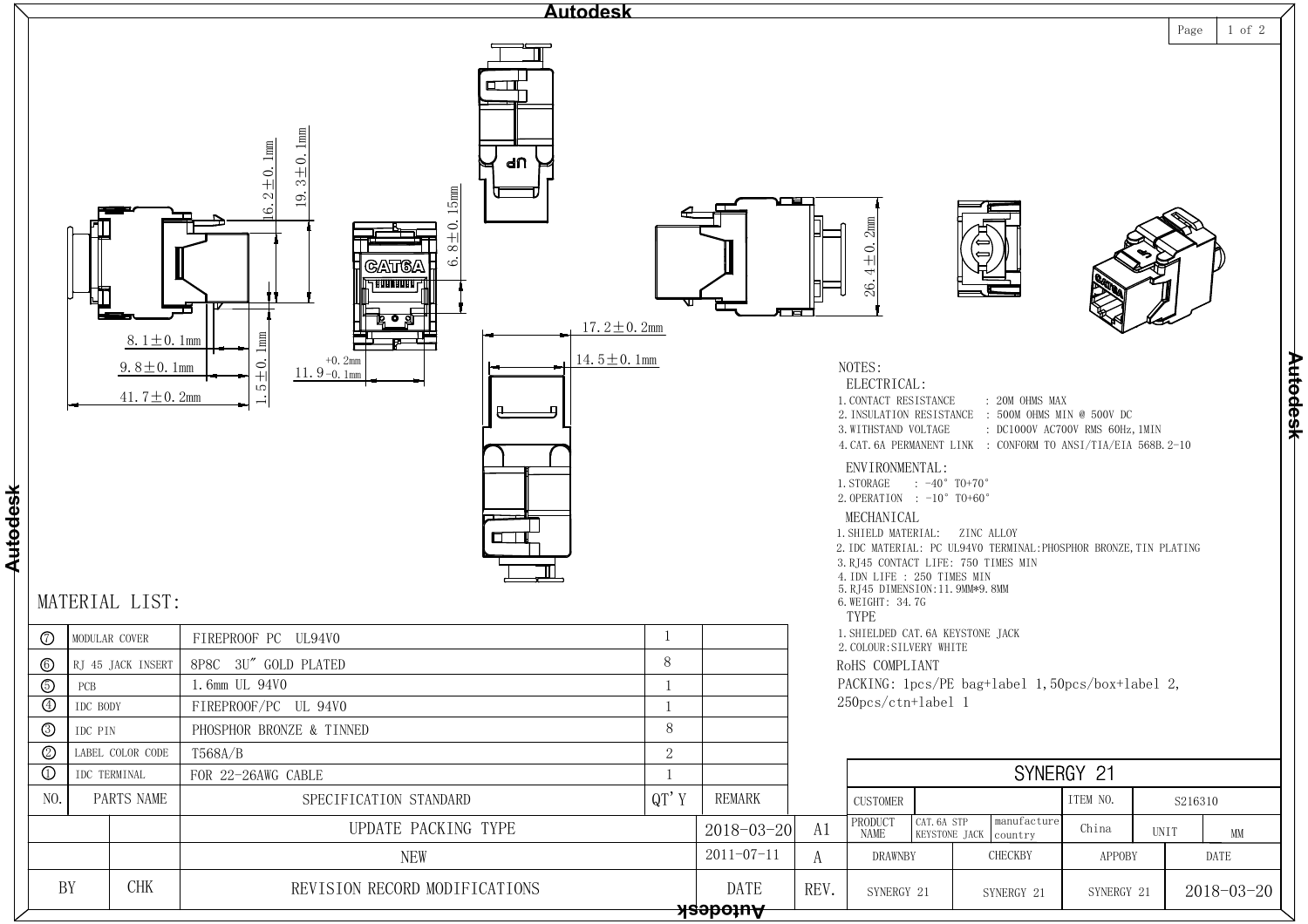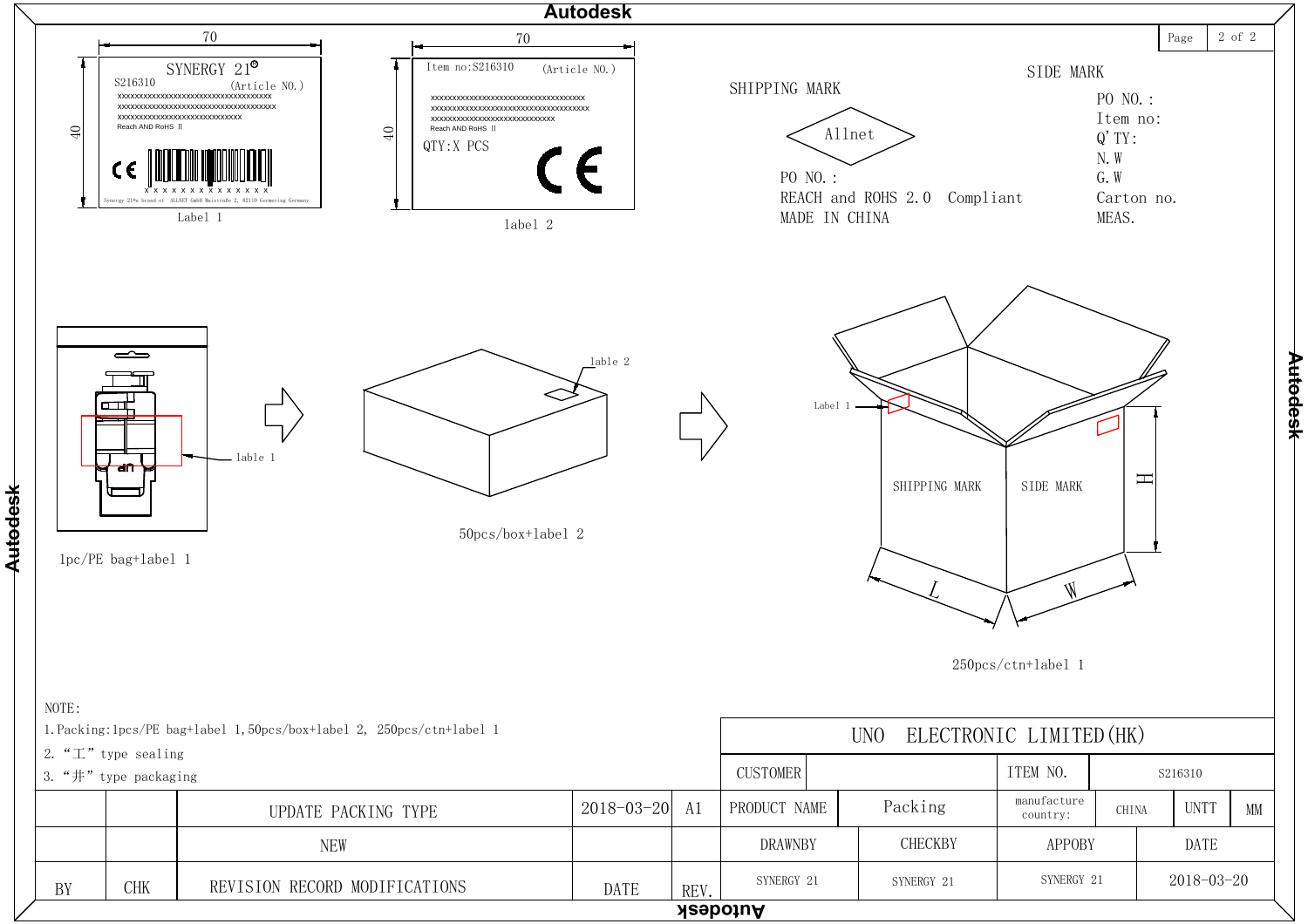

**Autodesk Autodesk**